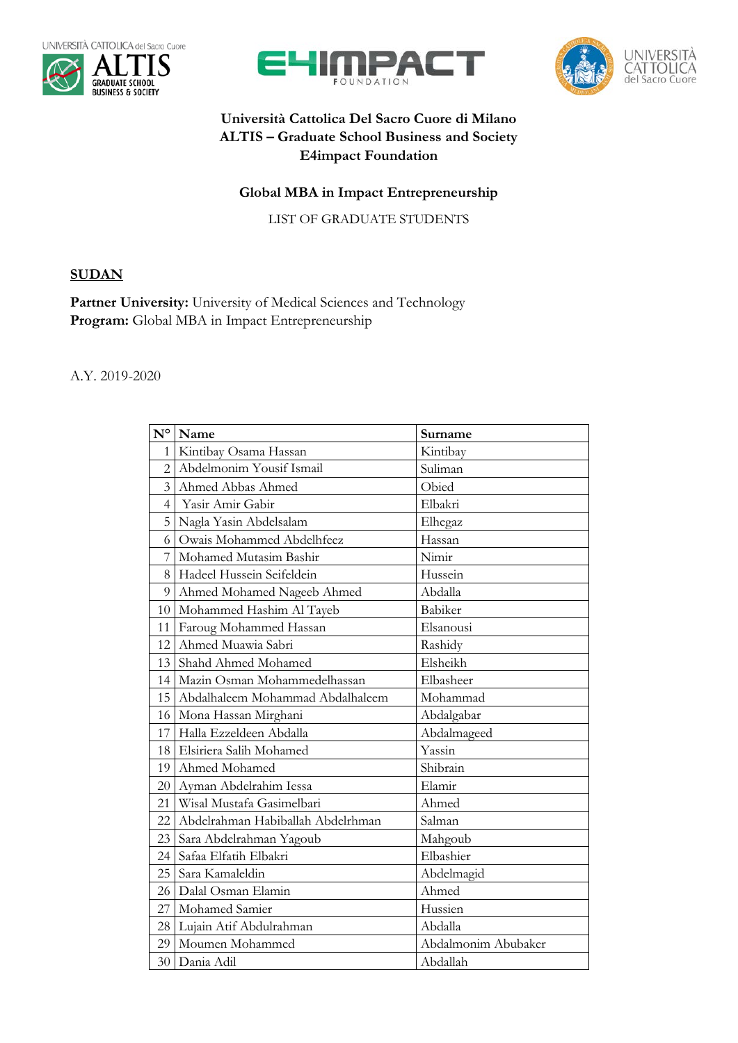







## **Università Cattolica Del Sacro Cuore di Milano ALTIS – Graduate School Business and Society E4impact Foundation**

## **Global MBA in Impact Entrepreneurship**

LIST OF GRADUATE STUDENTS

## **SUDAN**

Partner University: University of Medical Sciences and Technology **Program:** Global MBA in Impact Entrepreneurship

## A.Y. 2019-2020

| $N^{\circ}$    | Name                              | Surname             |
|----------------|-----------------------------------|---------------------|
| $\mathbf{1}$   | Kintibay Osama Hassan             | Kintibay            |
| $\overline{2}$ | Abdelmonim Yousif Ismail          | Suliman             |
| $\overline{3}$ | Ahmed Abbas Ahmed                 | Obied               |
| $\overline{4}$ | Yasir Amir Gabir                  | Elbakri             |
| 5              | Nagla Yasin Abdelsalam            | Elhegaz             |
| 6              | Owais Mohammed Abdelhfeez         | Hassan              |
| 7              | Mohamed Mutasim Bashir            | Nimir               |
| 8              | Hadeel Hussein Seifeldein         | Hussein             |
| 9              | Ahmed Mohamed Nageeb Ahmed        | Abdalla             |
| 10             | Mohammed Hashim Al Tayeb          | Babiker             |
| 11             | Faroug Mohammed Hassan            | Elsanousi           |
| 12             | Ahmed Muawia Sabri                | Rashidy             |
| 13             | Shahd Ahmed Mohamed               | Elsheikh            |
| 14             | Mazin Osman Mohammedelhassan      | Elbasheer           |
| 15             | Abdalhaleem Mohammad Abdalhaleem  | Mohammad            |
| 16             | Mona Hassan Mirghani              | Abdalgabar          |
| 17             | Halla Ezzeldeen Abdalla           | Abdalmageed         |
| 18             | Elsiriera Salih Mohamed           | Yassin              |
| 19             | Ahmed Mohamed                     | Shibrain            |
| 20             | Ayman Abdelrahim Iessa            | Elamir              |
| 21             | Wisal Mustafa Gasimelbari         | Ahmed               |
| 22             | Abdelrahman Habiballah Abdelrhman | Salman              |
| 23             | Sara Abdelrahman Yagoub           | Mahgoub             |
| 24             | Safaa Elfatih Elbakri             | Elbashier           |
| 25             | Sara Kamaleldin                   | Abdelmagid          |
| 26             | Dalal Osman Elamin                | Ahmed               |
| 27             | Mohamed Samier                    | Hussien             |
| 28             | Lujain Atif Abdulrahman           | Abdalla             |
| 29             | Moumen Mohammed                   | Abdalmonim Abubaker |
| 30             | Dania Adil                        | Abdallah            |